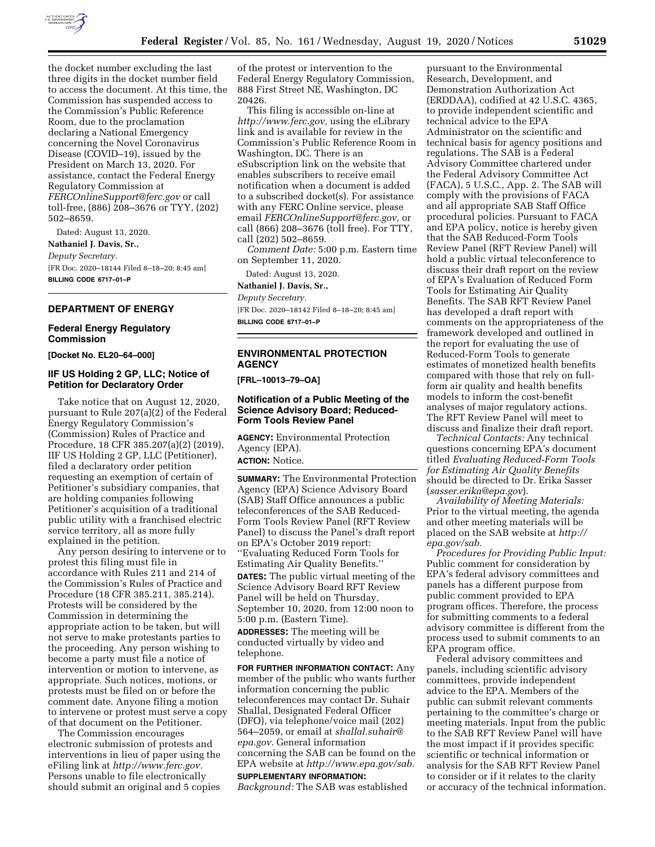

the docket number excluding the last three digits in the docket number field to access the document. At this time, the Commission has suspended access to the Commission's Public Reference Room, due to the proclamation declaring a National Emergency concerning the Novel Coronavirus Disease (COVID–19), issued by the President on March 13, 2020. For assistance, contact the Federal Energy Regulatory Commission at *[FERCOnlineSupport@ferc.gov](mailto:FERCOnlineSupport@ferc.gov)* or call toll-free, (886) 208–3676 or TYY, (202) 502–8659.

Dated: August 13, 2020. **Nathaniel J. Davis, Sr.,**  *Deputy Secretary.*  [FR Doc. 2020–18144 Filed 8–18–20; 8:45 am] **BILLING CODE 6717–01–P** 

#### **DEPARTMENT OF ENERGY**

#### **Federal Energy Regulatory Commission**

**[Docket No. EL20–64–000]** 

## **IIF US Holding 2 GP, LLC; Notice of Petition for Declaratory Order**

Take notice that on August 12, 2020, pursuant to Rule 207(a)(2) of the Federal Energy Regulatory Commission's (Commission) Rules of Practice and Procedure, 18 CFR 385.207(a)(2) (2019), IIF US Holding 2 GP, LLC (Petitioner), filed a declaratory order petition requesting an exemption of certain of Petitioner's subsidiary companies, that are holding companies following Petitioner's acquisition of a traditional public utility with a franchised electric service territory, all as more fully explained in the petition.

Any person desiring to intervene or to protest this filing must file in accordance with Rules 211 and 214 of the Commission's Rules of Practice and Procedure (18 CFR 385.211, 385.214). Protests will be considered by the Commission in determining the appropriate action to be taken, but will not serve to make protestants parties to the proceeding. Any person wishing to become a party must file a notice of intervention or motion to intervene, as appropriate. Such notices, motions, or protests must be filed on or before the comment date. Anyone filing a motion to intervene or protest must serve a copy of that document on the Petitioner.

The Commission encourages electronic submission of protests and interventions in lieu of paper using the eFiling link at *[http://www.ferc.gov.](http://www.ferc.gov)*  Persons unable to file electronically should submit an original and 5 copies

of the protest or intervention to the Federal Energy Regulatory Commission, 888 First Street NE, Washington, DC 20426.

This filing is accessible on-line at *[http://www.ferc.gov,](http://www.ferc.gov)* using the eLibrary link and is available for review in the Commission's Public Reference Room in Washington, DC. There is an eSubscription link on the website that enables subscribers to receive email notification when a document is added to a subscribed docket(s). For assistance with any FERC Online service, please email *[FERCOnlineSupport@ferc.gov,](mailto:FERCOnlineSupport@ferc.gov)* or call (866) 208–3676 (toll free). For TTY, call (202) 502–8659.

*Comment Date:* 5:00 p.m. Eastern time on September 11, 2020.

Dated: August 13, 2020.

**Nathaniel J. Davis, Sr.,** 

*Deputy Secretary.*  [FR Doc. 2020–18142 Filed 8–18–20; 8:45 am] **BILLING CODE 6717–01–P** 

# **ENVIRONMENTAL PROTECTION AGENCY**

**[FRL–10013–79–OA]** 

## **Notification of a Public Meeting of the Science Advisory Board; Reduced-Form Tools Review Panel**

**AGENCY:** Environmental Protection Agency (EPA). **ACTION:** Notice.

**SUMMARY:** The Environmental Protection Agency (EPA) Science Advisory Board (SAB) Staff Office announces a public teleconferences of the SAB Reduced-Form Tools Review Panel (RFT Review Panel) to discuss the Panel's draft report on EPA's October 2019 report: ''Evaluating Reduced Form Tools for Estimating Air Quality Benefits.''

**DATES:** The public virtual meeting of the Science Advisory Board RFT Review Panel will be held on Thursday, September 10, 2020, from 12:00 noon to 5:00 p.m. (Eastern Time).

**ADDRESSES:** The meeting will be conducted virtually by video and telephone.

**FOR FURTHER INFORMATION CONTACT:** Any member of the public who wants further information concerning the public teleconferences may contact Dr. Suhair Shallal, Designated Federal Officer (DFO), via telephone/voice mail (202) 564–2059, or email at *[shallal.suhair@](mailto:shallal.suhair@epa.gov) [epa.gov.](mailto:shallal.suhair@epa.gov)* General information concerning the SAB can be found on the EPA website at *[http://www.epa.gov/sab.](http://www.epa.gov/sab)*  **SUPPLEMENTARY INFORMATION:** 

*Background:* The SAB was established

pursuant to the Environmental Research, Development, and Demonstration Authorization Act (ERDDAA), codified at 42 U.S.C. 4365, to provide independent scientific and technical advice to the EPA Administrator on the scientific and technical basis for agency positions and regulations. The SAB is a Federal Advisory Committee chartered under the Federal Advisory Committee Act (FACA), 5 U.S.C., App. 2. The SAB will comply with the provisions of FACA and all appropriate SAB Staff Office procedural policies. Pursuant to FACA and EPA policy, notice is hereby given that the SAB Reduced-Form Tools Review Panel (RFT Review Panel) will hold a public virtual teleconference to discuss their draft report on the review of EPA's Evaluation of Reduced Form Tools for Estimating Air Quality Benefits. The SAB RFT Review Panel has developed a draft report with comments on the appropriateness of the framework developed and outlined in the report for evaluating the use of Reduced-Form Tools to generate estimates of monetized health benefits compared with those that rely on fullform air quality and health benefits models to inform the cost-benefit analyses of major regulatory actions. The RFT Review Panel will meet to discuss and finalize their draft report.

*Technical Contacts:* Any technical questions concerning EPA's document titled *Evaluating Reduced-Form Tools for Estimating Air Quality Benefits*  should be directed to Dr. Erika Sasser (*[sasser.erika@epa.gov](mailto:sasser.erika@epa.gov)*).

*Availability of Meeting Materials:*  Prior to the virtual meeting, the agenda and other meeting materials will be placed on the SAB website at *[http://](http://epa.gov/sab) [epa.gov/sab.](http://epa.gov/sab)* 

*Procedures for Providing Public Input:*  Public comment for consideration by EPA's federal advisory committees and panels has a different purpose from public comment provided to EPA program offices. Therefore, the process for submitting comments to a federal advisory committee is different from the process used to submit comments to an EPA program office.

Federal advisory committees and panels, including scientific advisory committees, provide independent advice to the EPA. Members of the public can submit relevant comments pertaining to the committee's charge or meeting materials. Input from the public to the SAB RFT Review Panel will have the most impact if it provides specific scientific or technical information or analysis for the SAB RFT Review Panel to consider or if it relates to the clarity or accuracy of the technical information.